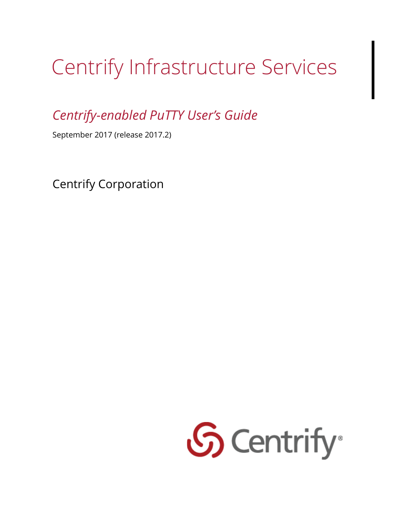# Centrify Infrastructure Services

*Centrify-enabled PuTTY User's Guide* 

September 2017 (release 2017.2)

Centrify Corporation

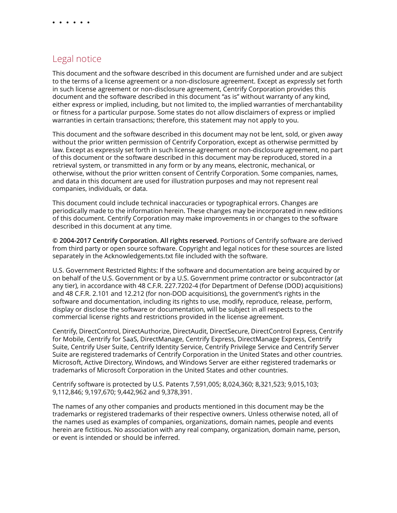#### Legal notice

This document and the software described in this document are furnished under and are subject to the terms of a license agreement or a non-disclosure agreement. Except as expressly set forth in such license agreement or non-disclosure agreement, Centrify Corporation provides this document and the software described in this document "as is" without warranty of any kind, either express or implied, including, but not limited to, the implied warranties of merchantability or fitness for a particular purpose. Some states do not allow disclaimers of express or implied warranties in certain transactions; therefore, this statement may not apply to you.

This document and the software described in this document may not be lent, sold, or given away without the prior written permission of Centrify Corporation, except as otherwise permitted by law. Except as expressly set forth in such license agreement or non-disclosure agreement, no part of this document or the software described in this document may be reproduced, stored in a retrieval system, or transmitted in any form or by any means, electronic, mechanical, or otherwise, without the prior written consent of Centrify Corporation. Some companies, names, and data in this document are used for illustration purposes and may not represent real companies, individuals, or data.

This document could include technical inaccuracies or typographical errors. Changes are periodically made to the information herein. These changes may be incorporated in new editions of this document. Centrify Corporation may make improvements in or changes to the software described in this document at any time.

**© 2004-2017 Centrify Corporation. All rights reserved.** Portions of Centrify software are derived from third party or open source software. Copyright and legal notices for these sources are listed separately in the Acknowledgements.txt file included with the software.

U.S. Government Restricted Rights: If the software and documentation are being acquired by or on behalf of the U.S. Government or by a U.S. Government prime contractor or subcontractor (at any tier), in accordance with 48 C.F.R. 227.7202-4 (for Department of Defense (DOD) acquisitions) and 48 C.F.R. 2.101 and 12.212 (for non-DOD acquisitions), the government's rights in the software and documentation, including its rights to use, modify, reproduce, release, perform, display or disclose the software or documentation, will be subject in all respects to the commercial license rights and restrictions provided in the license agreement.

Centrify, DirectControl, DirectAuthorize, DirectAudit, DirectSecure, DirectControl Express, Centrify for Mobile, Centrify for SaaS, DirectManage, Centrify Express, DirectManage Express, Centrify Suite, Centrify User Suite, Centrify Identity Service, Centrify Privilege Service and Centrify Server Suite are registered trademarks of Centrify Corporation in the United States and other countries. Microsoft, Active Directory, Windows, and Windows Server are either registered trademarks or trademarks of Microsoft Corporation in the United States and other countries.

Centrify software is protected by U.S. Patents 7,591,005; 8,024,360; 8,321,523; 9,015,103; 9,112,846; 9,197,670; 9,442,962 and 9,378,391.

The names of any other companies and products mentioned in this document may be the trademarks or registered trademarks of their respective owners. Unless otherwise noted, all of the names used as examples of companies, organizations, domain names, people and events herein are fictitious. No association with any real company, organization, domain name, person, or event is intended or should be inferred.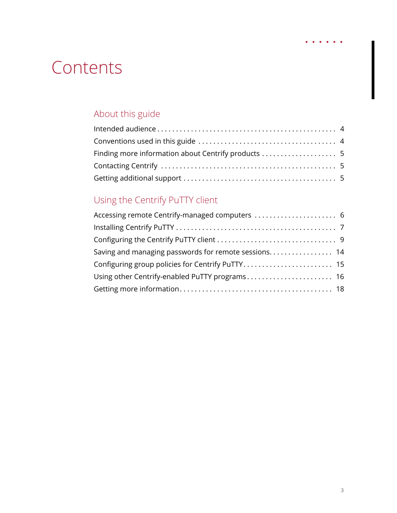## **Contents**

#### [A](#page-3-0)bout this guide

#### [U](#page-5-0)sing the Centrify PuTTY client 6

| Accessing remote Centrify-managed computers  6       |  |
|------------------------------------------------------|--|
|                                                      |  |
|                                                      |  |
| Saving and managing passwords for remote sessions 14 |  |
| Configuring group policies for Centrify PuTTY 15     |  |
| Using other Centrify-enabled PuTTY programs 16       |  |
|                                                      |  |

 $\begin{array}{cccccccccccccc} \bullet & \bullet & \bullet & \bullet & \bullet & \bullet & \bullet \end{array}$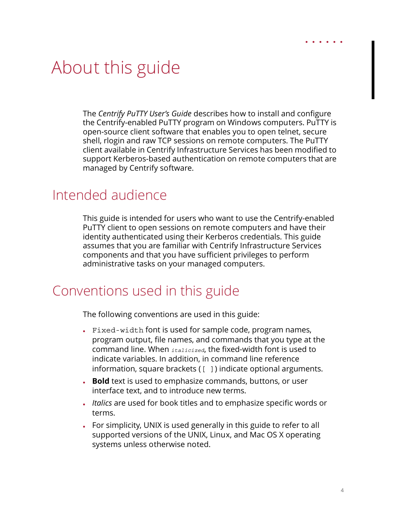## <span id="page-3-0"></span>About this guide

The *Centrify PuTTY User's Guide* describes how to install and configure the Centrify-enabled PuTTY program on Windows computers. PuTTY is open-source client software that enables you to open telnet, secure shell, rlogin and raw TCP sessions on remote computers. The PuTTY client available in Centrify Infrastructure Services has been modified to support Kerberos-based authentication on remote computers that are managed by Centrify software.

#### <span id="page-3-1"></span>Intended audience

This guide is intended for users who want to use the Centrify-enabled PuTTY client to open sessions on remote computers and have their identity authenticated using their Kerberos credentials. This guide assumes that you are familiar with Centrify Infrastructure Services components and that you have sufficient privileges to perform administrative tasks on your managed computers.

#### <span id="page-3-2"></span>Conventions used in this guide

The following conventions are used in this guide:

- Fixed-width font is used for sample code, program names, program output, file names, and commands that you type at the command line. When *italicized*, the fixed-width font is used to indicate variables. In addition, in command line reference information, square brackets ([ ]) indicate optional arguments.
- **Bold** text is used to emphasize commands, buttons, or user interface text, and to introduce new terms.
- *Italics* are used for book titles and to emphasize specific words or terms.
- For simplicity, UNIX is used generally in this guide to refer to all supported versions of the UNIX, Linux, and Mac OS X operating systems unless otherwise noted.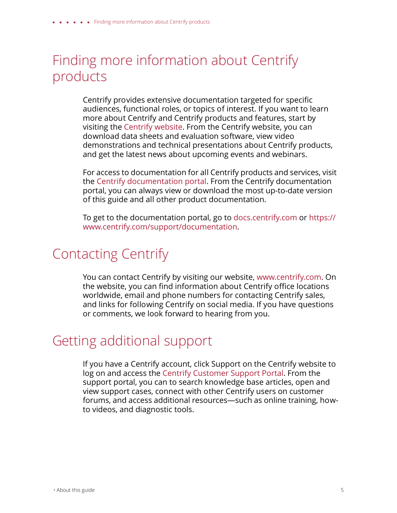#### <span id="page-4-0"></span>Finding more information about Centrify products

Centrify provides extensive documentation targeted for specific audiences, functional roles, or topics of interest. If you want to learn more about Centrify and Centrify products and features, start by visiting the [Centrify website.](http://www.centrify.com/solutions/overview.asp) From the Centrify website, you can download data sheets and evaluation software, view video demonstrations and technical presentations about Centrify products, and get the latest news about upcoming events and webinars.

For access to documentation for all Centrify products and services, visit the [Centrify documentation portal.](https://www.centrify.com/support/documentation) From the Centrify documentation portal, you can always view or download the most up-to-date version of this guide and all other product documentation.

To get to the documentation portal, go to [docs.centrify.com](http://docs.centrify.com) [or h](https://www.centrify.com/support/documentation)ttps:// www.centrify.com/support/documentation.

#### <span id="page-4-1"></span>Contacting Centrify

You can contact Centrify by visiting our website, www.centrify.com. On the website, you can find information about Centrify office locations worldwide, email and phone numbers for contacting Centrify sales, and links for following Centrify on social media. If you have questions or comments, we look forward to hearing from you.

#### <span id="page-4-2"></span>Getting additional support

If you have a Centrify account, click Support on the Centrify website to log on and access the [Centrify Customer Support Portal](https://www.centrify.com/account/login.asp?msg=loginrequired&ret=%2Fsupport%2Fportal%2Easp). From the support portal, you can to search knowledge base articles, open and view support cases, connect with other Centrify users on customer forums, and access additional resources—such as online training, howto videos, and diagnostic tools.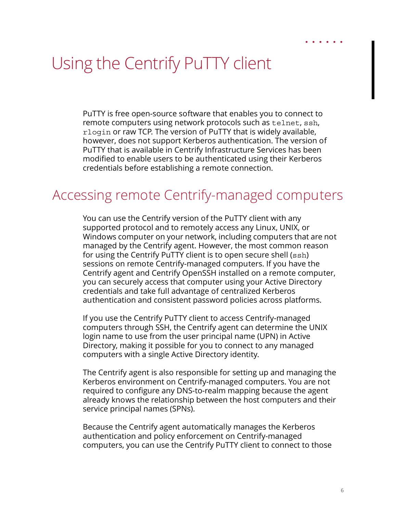### <span id="page-5-0"></span>Using the Centrify PuTTY client

PuTTY is free open-source software that enables you to connect to remote computers using network protocols such as telnet, ssh, rlogin or raw TCP. The version of PuTTY that is widely available, however, does not support Kerberos authentication. The version of PuTTY that is available in Centrify Infrastructure Services has been modified to enable users to be authenticated using their Kerberos credentials before establishing a remote connection.

#### <span id="page-5-1"></span>Accessing remote Centrify-managed computers

You can use the Centrify version of the PuTTY client with any supported protocol and to remotely access any Linux, UNIX, or Windows computer on your network, including computers that are not managed by the Centrify agent. However, the most common reason for using the Centrify PuTTY client is to open secure shell (ssh) sessions on remote Centrify-managed computers. If you have the Centrify agent and Centrify OpenSSH installed on a remote computer, you can securely access that computer using your Active Directory credentials and take full advantage of centralized Kerberos authentication and consistent password policies across platforms.

If you use the Centrify PuTTY client to access Centrify-managed computers through SSH, the Centrify agent can determine the UNIX login name to use from the user principal name (UPN) in Active Directory, making it possible for you to connect to any managed computers with a single Active Directory identity.

The Centrify agent is also responsible for setting up and managing the Kerberos environment on Centrify-managed computers. You are not required to configure any DNS-to-realm mapping because the agent already knows the relationship between the host computers and their service principal names (SPNs).

Because the Centrify agent automatically manages the Kerberos authentication and policy enforcement on Centrify-managed computers, you can use the Centrify PuTTY client to connect to those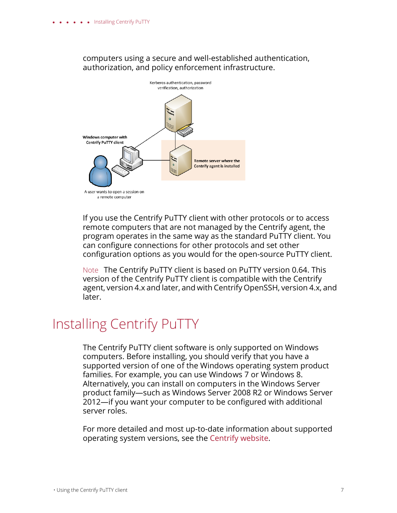#### computers using a secure and well-established authentication, authorization, and policy enforcement infrastructure.



If you use the Centrify PuTTY client with other protocols or to access remote computers that are not managed by the Centrify agent, the program operates in the same way as the standard PuTTY client. You can configure connections for other protocols and set other configuration options as you would for the open-source PuTTY client.

Note The Centrify PuTTY client is based on PuTTY version 0.64. This version of the Centrify PuTTY client is compatible with the Centrify agent, version 4.x and later, and with Centrify OpenSSH, version 4.x, and later.

#### <span id="page-6-0"></span>Installing Centrify PuTTY

The Centrify PuTTY client software is only supported on Windows computers. Before installing, you should verify that you have a supported version of one of the Windows operating system product families. For example, you can use Windows 7 or Windows 8. Alternatively, you can install on computers in the Windows Server product family—such as Windows Server 2008 R2 or Windows Server 2012—if you want your computer to be configured with additional server roles.

For more detailed and most up-to-date information about supported operating system versions, see the [Centrify website](www.centrify.com/platforms).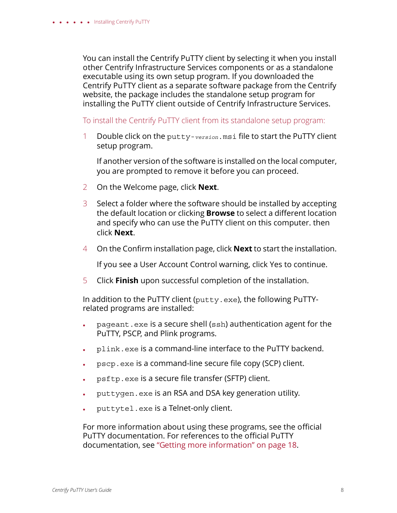You can install the Centrify PuTTY client by selecting it when you install other Centrify Infrastructure Services components or as a standalone executable using its own setup program. If you downloaded the Centrify PuTTY client as a separate software package from the Centrify website, the package includes the standalone setup program for installing the PuTTY client outside of Centrify Infrastructure Services.

To install the Centrify PuTTY client from its standalone setup program:

1 Double click on the putty-*version*.msi file to start the PuTTY client setup program.

If another version of the software is installed on the local computer, you are prompted to remove it before you can proceed.

- 2 On the Welcome page, click **Next**.
- 3 Select a folder where the software should be installed by accepting the default location or clicking **Browse** to select a different location and specify who can use the PuTTY client on this computer. then click **Next**.
- 4 On the Confirm installation page, click **Next** to start the installation.

If you see a User Account Control warning, click Yes to continue.

5 Click **Finish** upon successful completion of the installation.

In addition to the PuTTY client (putty.exe), the following PuTTYrelated programs are installed:

- pageant.exe is a secure shell (ssh) authentication agent for the PuTTY, PSCP, and Plink programs.
- plink.exe is a command-line interface to the PuTTY backend.
- pscp.exe is a command-line secure file copy (SCP) client.
- psftp.exe is a secure file transfer (SFTP) client.
- puttygen.exe is an RSA and DSA key generation utility.
- puttytel.exe is a Telnet-only client.

For more information about using these programs, see the official PuTTY documentation. For references to the official PuTTY documentation, see ["Getting more information" on page 18.](#page-17-0)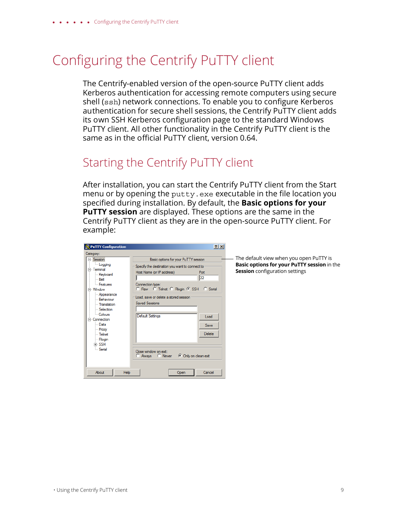### <span id="page-8-0"></span>Configuring the Centrify PuTTY client

The Centrify-enabled version of the open-source PuTTY client adds Kerberos authentication for accessing remote computers using secure shell (ssh) network connections. To enable you to configure Kerberos authentication for secure shell sessions, the Centrify PuTTY client adds its own SSH Kerberos configuration page to the standard Windows PuTTY client. All other functionality in the Centrify PuTTY client is the same as in the official PuTTY client, version 0.64.

#### Starting the Centrify PuTTY client

After installation, you can start the Centrify PuTTY client from the Start menu or by opening the putty.exe executable in the file location you specified during installation. By default, the **Basic options for your PuTTY session** are displayed. These options are the same in the Centrify PuTTY client as they are in the open-source PuTTY client. For example:

| PuTTY Configuration                                                                                                                                                                                                                                                    | $ ?  \times$                                                                                                                                                                                                                                                                                                                                                                                     |
|------------------------------------------------------------------------------------------------------------------------------------------------------------------------------------------------------------------------------------------------------------------------|--------------------------------------------------------------------------------------------------------------------------------------------------------------------------------------------------------------------------------------------------------------------------------------------------------------------------------------------------------------------------------------------------|
| Category:                                                                                                                                                                                                                                                              |                                                                                                                                                                                                                                                                                                                                                                                                  |
| ⊟-Session<br><b>Logging</b><br>⊟-Teminal<br>Keyboard<br>i… Bell<br><b>Eeatures</b><br>≒ Window<br>- Appearance<br>- Behaviour<br>- Translation<br>Selection<br>- Colours<br>□ Connection<br>l Data<br>- Proxy<br>$-$ Telnet<br><b>Rlogin</b><br>⊯ SSH<br><b>Serial</b> | Basic options for your PuTTY session<br>Specify the destination you want to connect to<br>Host Name (or IP address)<br>Port<br>122<br>Connection type:<br>C Raw C Telnet C Rlogin C SSH C Serial<br>Load, save or delete a stored session<br><b>Saved Sessions</b><br>Default Settings<br>Load<br><b>Save</b><br><b>Delete</b><br>Close window on exit:<br>C Always C Never C Only on clean exit |
| Help<br>About                                                                                                                                                                                                                                                          | Cancel<br>Open                                                                                                                                                                                                                                                                                                                                                                                   |

The default view when you open PuTTY is **Basic options for your PuTTY session** in the **Session** configuration settings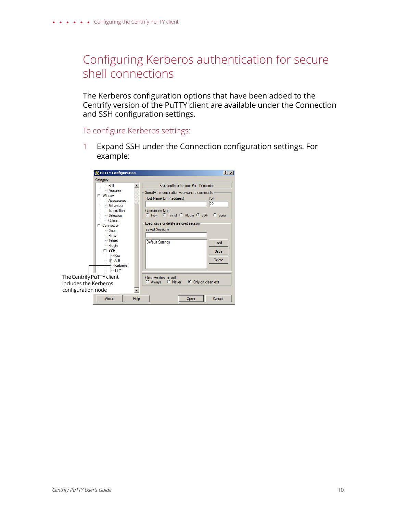#### Configuring Kerberos authentication for secure shell connections

The Kerberos configuration options that have been added to the Centrify version of the PuTTY client are available under the Connection and SSH configuration settings.

To configure Kerberos settings:

1 Expand SSH under the Connection configuration settings. For example:

| PuTTY Configuration                                                                                                                     | 2 x                                                                                                                                                                                                                       |
|-----------------------------------------------------------------------------------------------------------------------------------------|---------------------------------------------------------------------------------------------------------------------------------------------------------------------------------------------------------------------------|
| Category:                                                                                                                               |                                                                                                                                                                                                                           |
| l… Bell                                                                                                                                 | Basic options for your PuTTY session                                                                                                                                                                                      |
| <b>Eeatures</b><br><b>E</b> Window<br>- Appearance<br>- Behaviour<br><b>Translation</b><br>Selection<br>Colours<br><b>Fi</b> Connection | Specify the destination you want to connect to<br>Host Name (or IP address)<br>Port<br>22<br>Connection type:<br>C Raw C Telnet C Riogin C SSH C Serial<br>Load, save or delete a stored session<br><b>Saved Sessions</b> |
| l--- Data<br>i -- Proxy<br>— Telnet<br><b>Rlogin</b><br>⊫ SSH<br>i Kex<br>Fi-Auth<br>- Kerberos<br>$-$ TTY                              | <b>Default Settings</b><br>Load<br>Save<br>Delete                                                                                                                                                                         |
| The Centrify PuTTY client<br>includes the Kerberos<br>configuration node                                                                | Close window on exit:<br>C Always C Never C Only on clean exit                                                                                                                                                            |
| About<br>Help                                                                                                                           | Cancel<br>Open                                                                                                                                                                                                            |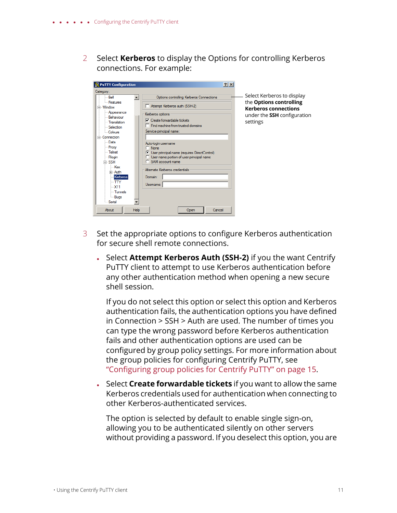2 Select **Kerberos** to display the Options for controlling Kerberos connections. For example:



- 3 Set the appropriate options to configure Kerberos authentication for secure shell remote connections.
	- Select **Attempt Kerberos Auth (SSH-2)** if you the want Centrify PuTTY client to attempt to use Kerberos authentication before any other authentication method when opening a new secure shell session.

If you do not select this option or select this option and Kerberos authentication fails, the authentication options you have defined in Connection > SSH > Auth are used. The number of times you can type the wrong password before Kerberos authentication fails and other authentication options are used can be configured by group policy settings. For more information about the group policies for configuring Centrify PuTTY, see ["Configuring group policies for Centrify PuTTY" on page 15.](#page-14-0)

 Select **Create forwardable tickets** if you want to allow the same Kerberos credentials used for authentication when connecting to other Kerberos-authenticated services.

The option is selected by default to enable single sign-on, allowing you to be authenticated silently on other servers without providing a password. If you deselect this option, you are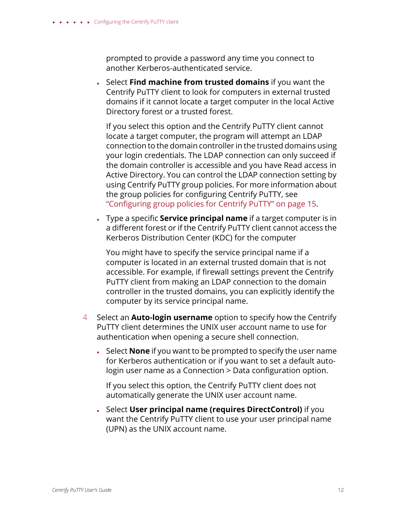prompted to provide a password any time you connect to another Kerberos-authenticated service.

 Select **Find machine from trusted domains** if you want the Centrify PuTTY client to look for computers in external trusted domains if it cannot locate a target computer in the local Active Directory forest or a trusted forest.

If you select this option and the Centrify PuTTY client cannot locate a target computer, the program will attempt an LDAP connection to the domain controller in the trusted domains using your login credentials. The LDAP connection can only succeed if the domain controller is accessible and you have Read access in Active Directory. You can control the LDAP connection setting by using Centrify PuTTY group policies. For more information about the group policies for configuring Centrify PuTTY, see ["Configuring group policies for Centrify PuTTY" on page 15.](#page-14-0)

 Type a specific **Service principal name** if a target computer is in a different forest or if the Centrify PuTTY client cannot access the Kerberos Distribution Center (KDC) for the computer

You might have to specify the service principal name if a computer is located in an external trusted domain that is not accessible. For example, if firewall settings prevent the Centrify PuTTY client from making an LDAP connection to the domain controller in the trusted domains, you can explicitly identify the computer by its service principal name.

- 4 Select an **Auto-login username** option to specify how the Centrify PuTTY client determines the UNIX user account name to use for authentication when opening a secure shell connection.
	- Select **None** if you want to be prompted to specify the user name for Kerberos authentication or if you want to set a default autologin user name as a Connection > Data configuration option.

If you select this option, the Centrify PuTTY client does not automatically generate the UNIX user account name.

 Select **User principal name (requires DirectControl)** if you want the Centrify PuTTY client to use your user principal name (UPN) as the UNIX account name.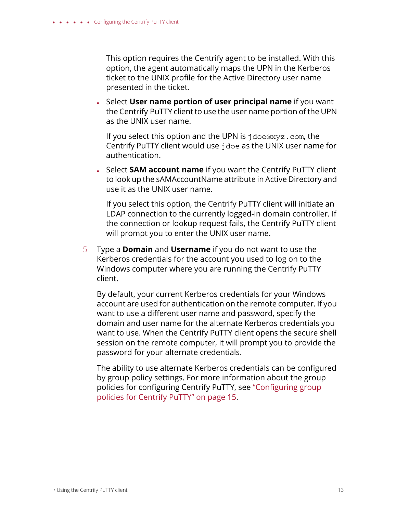This option requires the Centrify agent to be installed. With this option, the agent automatically maps the UPN in the Kerberos ticket to the UNIX profile for the Active Directory user name presented in the ticket.

 Select **User name portion of user principal name** if you want the Centrify PuTTY client to use the user name portion of the UPN as the UNIX user name.

If you select this option and the UPN is jdoe@xyz.com, the Centrify PuTTY client would use jdoe as the UNIX user name for authentication.

 Select **SAM account name** if you want the Centrify PuTTY client to look up the sAMAccountName attribute in Active Directory and use it as the UNIX user name.

If you select this option, the Centrify PuTTY client will initiate an LDAP connection to the currently logged-in domain controller. If the connection or lookup request fails, the Centrify PuTTY client will prompt you to enter the UNIX user name.

5 Type a **Domain** and **Username** if you do not want to use the Kerberos credentials for the account you used to log on to the Windows computer where you are running the Centrify PuTTY client.

By default, your current Kerberos credentials for your Windows account are used for authentication on the remote computer. If you want to use a different user name and password, specify the domain and user name for the alternate Kerberos credentials you want to use. When the Centrify PuTTY client opens the secure shell session on the remote computer, it will prompt you to provide the password for your alternate credentials.

The ability to use alternate Kerberos credentials can be configured by group policy settings. For more information about the group policies for configuring Centrify PuTTY, see ["Configuring group](#page-14-0)  [policies for Centrify PuTTY" on page 15](#page-14-0).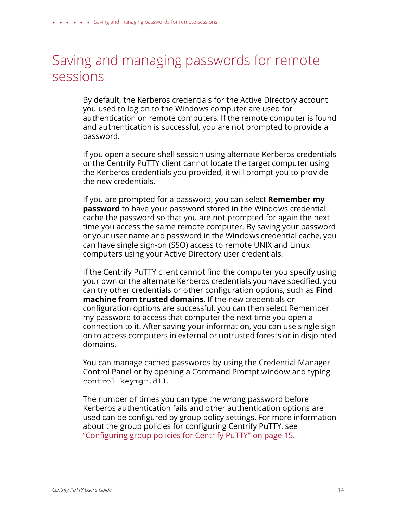#### <span id="page-13-0"></span>Saving and managing passwords for remote sessions

By default, the Kerberos credentials for the Active Directory account you used to log on to the Windows computer are used for authentication on remote computers. If the remote computer is found and authentication is successful, you are not prompted to provide a password.

If you open a secure shell session using alternate Kerberos credentials or the Centrify PuTTY client cannot locate the target computer using the Kerberos credentials you provided, it will prompt you to provide the new credentials.

If you are prompted for a password, you can select **Remember my password** to have your password stored in the Windows credential cache the password so that you are not prompted for again the next time you access the same remote computer. By saving your password or your user name and password in the Windows credential cache, you can have single sign-on (SSO) access to remote UNIX and Linux computers using your Active Directory user credentials.

If the Centrify PuTTY client cannot find the computer you specify using your own or the alternate Kerberos credentials you have specified, you can try other credentials or other configuration options, such as **Find machine from trusted domains**. If the new credentials or configuration options are successful, you can then select Remember my password to access that computer the next time you open a connection to it. After saving your information, you can use single signon to access computers in external or untrusted forests or in disjointed domains.

You can manage cached passwords by using the Credential Manager Control Panel or by opening a Command Prompt window and typing control keymgr.dll.

The number of times you can type the wrong password before Kerberos authentication fails and other authentication options are used can be configured by group policy settings. For more information about the group policies for configuring Centrify PuTTY, see ["Configuring group policies for Centrify PuTTY" on page 15.](#page-14-0)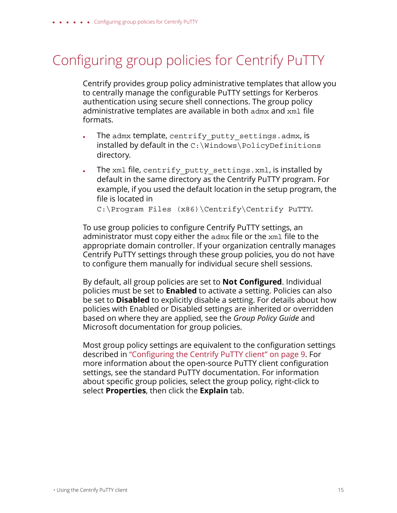### <span id="page-14-0"></span>Configuring group policies for Centrify PuTTY

Centrify provides group policy administrative templates that allow you to centrally manage the configurable PuTTY settings for Kerberos authentication using secure shell connections. The group policy administrative templates are available in both admx and xml file formats.

- The admx template, centrify putty settings.admx, is installed by default in the C:\Windows\PolicyDefinitions directory.
- The xml file, centrify putty settings.xml, is installed by default in the same directory as the Centrify PuTTY program. For example, if you used the default location in the setup program, the file is located in

C:\Program Files (x86)\Centrify\Centrify PuTTY.

To use group policies to configure Centrify PuTTY settings, an administrator must copy either the admx file or the xml file to the appropriate domain controller. If your organization centrally manages Centrify PuTTY settings through these group policies, you do not have to configure them manually for individual secure shell sessions.

By default, all group policies are set to **Not Configured**. Individual policies must be set to **Enabled** to activate a setting. Policies can also be set to **Disabled** to explicitly disable a setting. For details about how policies with Enabled or Disabled settings are inherited or overridden based on where they are applied, see the *Group Policy Guide* and Microsoft documentation for group policies.

Most group policy settings are equivalent to the configuration settings described in ["Configuring the Centrify PuTTY client" on page 9.](#page-8-0) For more information about the open-source PuTTY client configuration settings, see the standard PuTTY documentation. For information about specific group policies, select the group policy, right-click to select **Properties**, then click the **Explain** tab.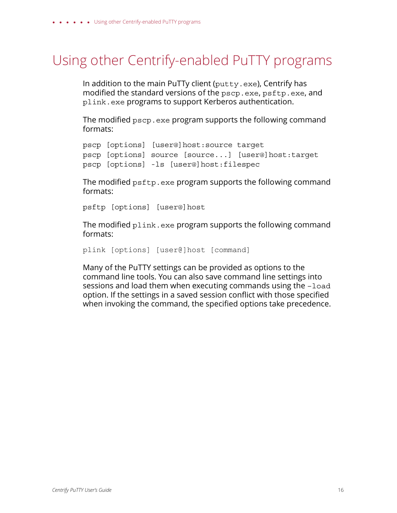### <span id="page-15-0"></span>Using other Centrify-enabled PuTTY programs

In addition to the main PuTTy client (putty.exe), Centrify has modified the standard versions of the pscp.exe, psftp.exe, and plink.exe programs to support Kerberos authentication.

The modified pscp.exe program supports the following command formats:

```
pscp [options] [user@]host:source target
pscp [options] source [source...] [user@]host:target
pscp [options] -ls [user@]host:filespec
```
The modified psftp.exe program supports the following command formats:

psftp [options] [user@]host

The modified  $p$ link.exe program supports the following command formats:

```
plink [options] [user@]host [command]
```
Many of the PuTTY settings can be provided as options to the command line tools. You can also save command line settings into sessions and load them when executing commands using the –load option. If the settings in a saved session conflict with those specified when invoking the command, the specified options take precedence.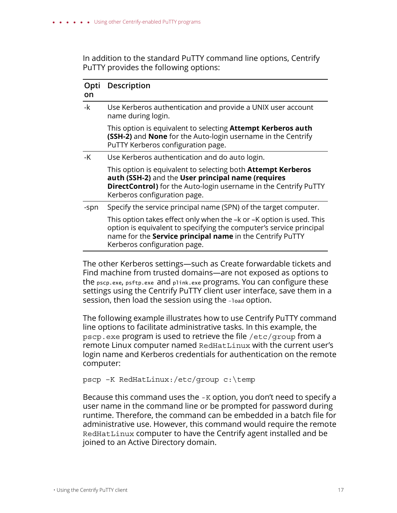In addition to the standard PuTTY command line options, Centrify PuTTY provides the following options:

| Opti<br>on | <b>Description</b>                                                                                                                                                                                                                              |
|------------|-------------------------------------------------------------------------------------------------------------------------------------------------------------------------------------------------------------------------------------------------|
| -k         | Use Kerberos authentication and provide a UNIX user account<br>name during login.                                                                                                                                                               |
|            | This option is equivalent to selecting Attempt Kerberos auth<br>(SSH-2) and None for the Auto-login username in the Centrify<br>PuTTY Kerberos configuration page.                                                                              |
| -K         | Use Kerberos authentication and do auto login.                                                                                                                                                                                                  |
|            | This option is equivalent to selecting both <b>Attempt Kerberos</b><br>auth (SSH-2) and the User principal name (requires<br><b>DirectControl)</b> for the Auto-login username in the Centrify PuTTY<br>Kerberos configuration page.            |
| -spn       | Specify the service principal name (SPN) of the target computer.                                                                                                                                                                                |
|            | This option takes effect only when the -k or -K option is used. This<br>option is equivalent to specifying the computer's service principal<br>name for the <b>Service principal name</b> in the Centrify PuTTY<br>Kerberos configuration page. |

The other Kerberos settings—such as Create forwardable tickets and Find machine from trusted domains—are not exposed as options to the pscp.exe, psftp.exe and plink.exe programs. You can configure these settings using the Centrify PuTTY client user interface, save them in a session, then load the session using the -load option.

The following example illustrates how to use Centrify PuTTY command line options to facilitate administrative tasks. In this example, the pscp.exe program is used to retrieve the file /etc/group from a remote Linux computer named RedHatLinux with the current user's login name and Kerberos credentials for authentication on the remote computer:

pscp –K RedHatLinux:/etc/group c:\temp

Because this command uses the -K option, you don't need to specify a user name in the command line or be prompted for password during runtime. Therefore, the command can be embedded in a batch file for administrative use. However, this command would require the remote RedHatLinux computer to have the Centrify agent installed and be joined to an Active Directory domain.